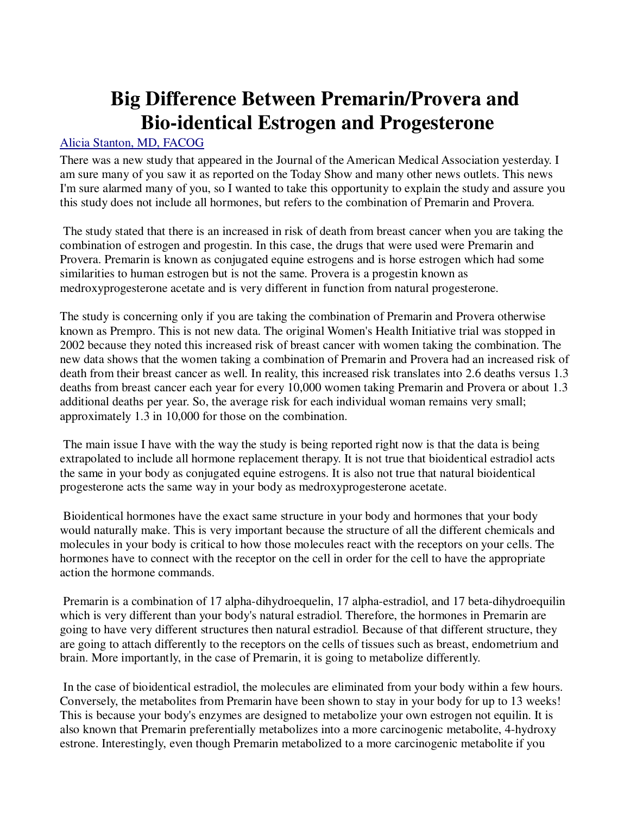## **Big Difference Between Premarin/Provera and Bio-identical Estrogen and Progesterone**

## Alicia Stanton, MD, FACOG

There was a new study that appeared in the Journal of the American Medical Association yesterday. I am sure many of you saw it as reported on the Today Show and many other news outlets. This news I'm sure alarmed many of you, so I wanted to take this opportunity to explain the study and assure you this study does not include all hormones, but refers to the combination of Premarin and Provera.

 The study stated that there is an increased in risk of death from breast cancer when you are taking the combination of estrogen and progestin. In this case, the drugs that were used were Premarin and Provera. Premarin is known as conjugated equine estrogens and is horse estrogen which had some similarities to human estrogen but is not the same. Provera is a progestin known as medroxyprogesterone acetate and is very different in function from natural progesterone.

The study is concerning only if you are taking the combination of Premarin and Provera otherwise known as Prempro. This is not new data. The original Women's Health Initiative trial was stopped in 2002 because they noted this increased risk of breast cancer with women taking the combination. The new data shows that the women taking a combination of Premarin and Provera had an increased risk of death from their breast cancer as well. In reality, this increased risk translates into 2.6 deaths versus 1.3 deaths from breast cancer each year for every 10,000 women taking Premarin and Provera or about 1.3 additional deaths per year. So, the average risk for each individual woman remains very small; approximately 1.3 in 10,000 for those on the combination.

 The main issue I have with the way the study is being reported right now is that the data is being extrapolated to include all hormone replacement therapy. It is not true that bioidentical estradiol acts the same in your body as conjugated equine estrogens. It is also not true that natural bioidentical progesterone acts the same way in your body as medroxyprogesterone acetate.

 Bioidentical hormones have the exact same structure in your body and hormones that your body would naturally make. This is very important because the structure of all the different chemicals and molecules in your body is critical to how those molecules react with the receptors on your cells. The hormones have to connect with the receptor on the cell in order for the cell to have the appropriate action the hormone commands.

 Premarin is a combination of 17 alpha-dihydroequelin, 17 alpha-estradiol, and 17 beta-dihydroequilin which is very different than your body's natural estradiol. Therefore, the hormones in Premarin are going to have very different structures then natural estradiol. Because of that different structure, they are going to attach differently to the receptors on the cells of tissues such as breast, endometrium and brain. More importantly, in the case of Premarin, it is going to metabolize differently.

 In the case of bioidentical estradiol, the molecules are eliminated from your body within a few hours. Conversely, the metabolites from Premarin have been shown to stay in your body for up to 13 weeks! This is because your body's enzymes are designed to metabolize your own estrogen not equilin. It is also known that Premarin preferentially metabolizes into a more carcinogenic metabolite, 4-hydroxy estrone. Interestingly, even though Premarin metabolized to a more carcinogenic metabolite if you